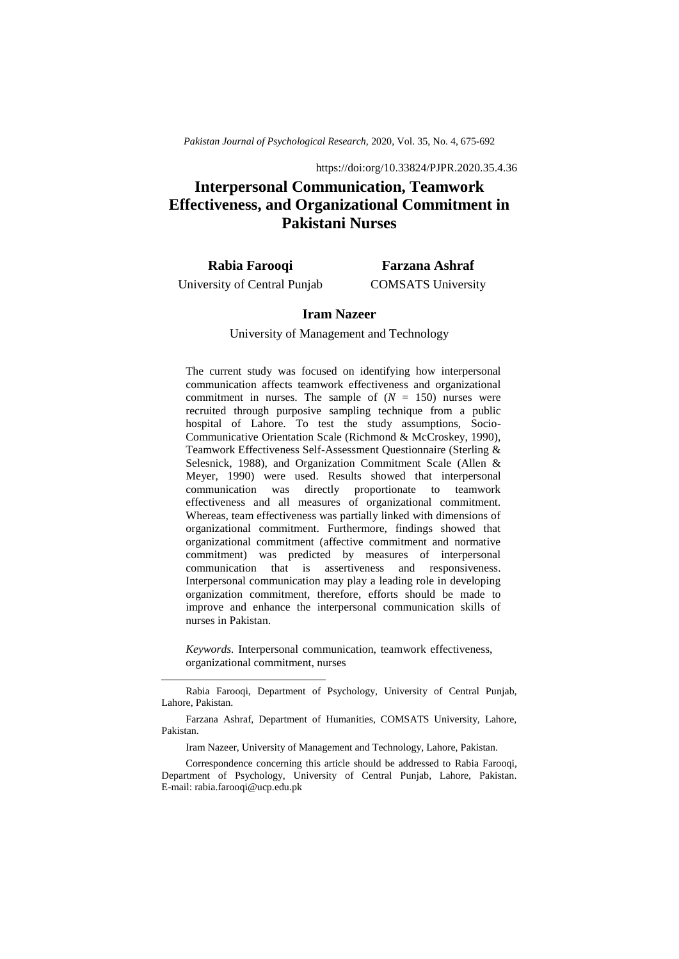*Pakistan Journal of Psychological Research,* 2020, Vol. 35, No. 4, 675-692

https://doi:org/10.33824/PJPR.2020.35.4.36

# **Interpersonal Communication, Teamwork Effectiveness, and Organizational Commitment in Pakistani Nurses**

**Rabia Farooqi**  University of Central Punjab

1

**Farzana Ashraf** COMSATS University

# **Iram Nazeer**

#### University of Management and Technology

The current study was focused on identifying how interpersonal communication affects teamwork effectiveness and organizational commitment in nurses. The sample of  $(N = 150)$  nurses were recruited through purposive sampling technique from a public hospital of Lahore. To test the study assumptions, Socio-Communicative Orientation Scale (Richmond & McCroskey, 1990), Teamwork Effectiveness Self-Assessment Questionnaire (Sterling & Selesnick, 1988), and Organization Commitment Scale (Allen & Meyer, 1990) were used. Results showed that interpersonal communication was directly proportionate to teamwork effectiveness and all measures of organizational commitment. Whereas, team effectiveness was partially linked with dimensions of organizational commitment. Furthermore, findings showed that organizational commitment (affective commitment and normative commitment) was predicted by measures of interpersonal communication that is assertiveness and responsiveness. Interpersonal communication may play a leading role in developing organization commitment, therefore, efforts should be made to improve and enhance the interpersonal communication skills of nurses in Pakistan.

*Keywords.* Interpersonal communication, teamwork effectiveness, organizational commitment, nurses

Rabia Farooqi, Department of Psychology, University of Central Punjab, Lahore, Pakistan.

Farzana Ashraf, Department of Humanities, COMSATS University, Lahore, Pakistan.

Iram Nazeer, University of Management and Technology, Lahore, Pakistan.

Correspondence concerning this article should be addressed to Rabia Farooqi, Department of Psychology, University of Central Punjab, Lahore, Pakistan. E-mail: rabia.farooqi@ucp.edu.pk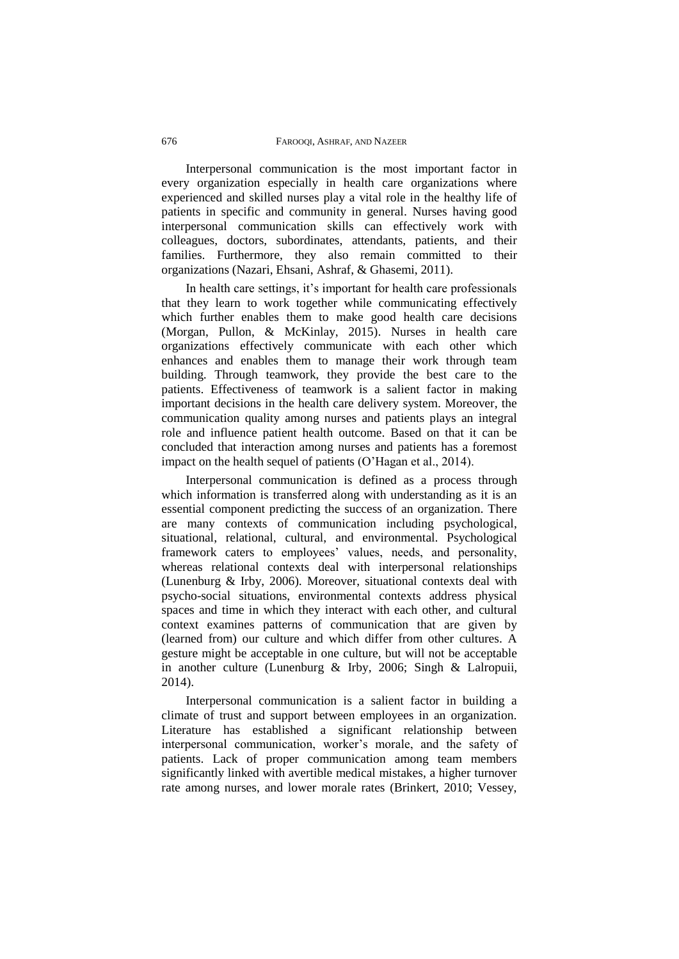Interpersonal communication is the most important factor in every organization especially in health care organizations where experienced and skilled nurses play a vital role in the healthy life of patients in specific and community in general. Nurses having good interpersonal communication skills can effectively work with colleagues, doctors, subordinates, attendants, patients, and their families. Furthermore, they also remain committed to their organizations (Nazari, Ehsani, Ashraf, & Ghasemi, 2011).

In health care settings, it's important for health care professionals that they learn to work together while communicating effectively which further enables them to make good health care decisions (Morgan, Pullon, & McKinlay, 2015). Nurses in health care organizations effectively communicate with each other which enhances and enables them to manage their work through team building. Through teamwork, they provide the best care to the patients. Effectiveness of teamwork is a salient factor in making important decisions in the health care delivery system. Moreover, the communication quality among nurses and patients plays an integral role and influence patient health outcome. Based on that it can be concluded that interaction among nurses and patients has a foremost impact on the health sequel of patients (O'Hagan et al., 2014).

Interpersonal communication is defined as a process through which information is transferred along with understanding as it is an essential component predicting the success of an organization. There are many contexts of communication including psychological, situational, relational, cultural, and environmental. Psychological framework caters to employees' values, needs, and personality, whereas relational contexts deal with interpersonal relationships (Lunenburg & Irby, 2006). Moreover, situational contexts deal with psycho-social situations, environmental contexts address physical spaces and time in which they interact with each other, and cultural context examines patterns of communication that are given by (learned from) our culture and which differ from other cultures. A gesture might be acceptable in one culture, but will not be acceptable in another culture (Lunenburg & Irby, 2006; Singh & Lalropuii, 2014).

Interpersonal communication is a salient factor in building a climate of trust and support between employees in an organization. Literature has established a significant relationship between interpersonal communication, worker's morale, and the safety of patients. Lack of proper communication among team members significantly linked with avertible medical mistakes, a higher turnover rate among nurses, and lower morale rates (Brinkert, 2010; Vessey,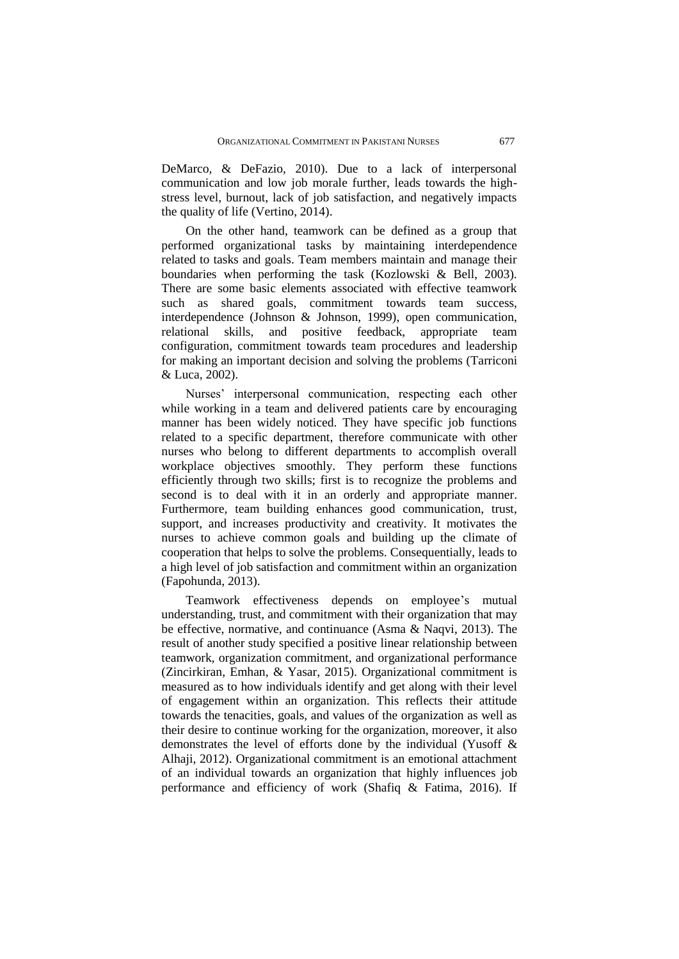DeMarco, & DeFazio, 2010). Due to a lack of interpersonal communication and low job morale further, leads towards the highstress level, burnout, lack of job satisfaction, and negatively impacts the quality of life (Vertino, 2014).

On the other hand, teamwork can be defined as a group that performed organizational tasks by maintaining interdependence related to tasks and goals. Team members maintain and manage their boundaries when performing the task (Kozlowski & Bell, 2003). There are some basic elements associated with effective teamwork such as shared goals, commitment towards team success, interdependence (Johnson & Johnson, 1999), open communication, relational skills, and positive feedback, appropriate team configuration, commitment towards team procedures and leadership for making an important decision and solving the problems (Tarriconi & Luca, 2002).

Nurses' interpersonal communication, respecting each other while working in a team and delivered patients care by encouraging manner has been widely noticed. They have specific job functions related to a specific department, therefore communicate with other nurses who belong to different departments to accomplish overall workplace objectives smoothly. They perform these functions efficiently through two skills; first is to recognize the problems and second is to deal with it in an orderly and appropriate manner. Furthermore, team building enhances good communication, trust, support, and increases productivity and creativity. It motivates the nurses to achieve common goals and building up the climate of cooperation that helps to solve the problems. Consequentially, leads to a high level of job satisfaction and commitment within an organization (Fapohunda, 2013).

Teamwork effectiveness depends on employee's mutual understanding, trust, and commitment with their organization that may be effective, normative, and continuance (Asma & Naqvi, 2013). The result of another study specified a positive linear relationship between teamwork, organization commitment, and organizational performance (Zincirkiran, Emhan, & Yasar, 2015). Organizational commitment is measured as to how individuals identify and get along with their level of engagement within an organization. This reflects their attitude towards the tenacities, goals, and values of the organization as well as their desire to continue working for the organization, moreover, it also demonstrates the level of efforts done by the individual (Yusoff & Alhaji, 2012). Organizational commitment is an emotional attachment of an individual towards an organization that highly influences job performance and efficiency of work (Shafiq & Fatima, 2016). If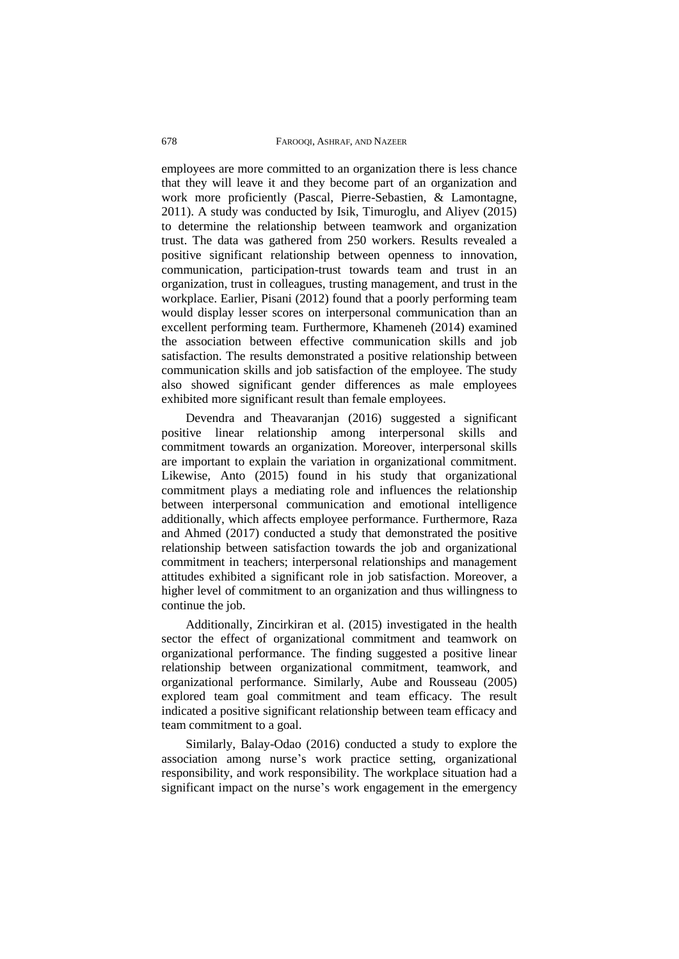employees are more committed to an organization there is less chance that they will leave it and they become part of an organization and work more proficiently (Pascal, Pierre-Sebastien, & Lamontagne, 2011). A study was conducted by Isik, Timuroglu, and Aliyev (2015) to determine the relationship between teamwork and organization trust. The data was gathered from 250 workers. Results revealed a positive significant relationship between openness to innovation, communication, participation-trust towards team and trust in an organization, trust in colleagues, trusting management, and trust in the workplace. Earlier, Pisani (2012) found that a poorly performing team would display lesser scores on interpersonal communication than an excellent performing team. Furthermore, Khameneh (2014) examined the association between effective communication skills and job satisfaction. The results demonstrated a positive relationship between communication skills and job satisfaction of the employee. The study also showed significant gender differences as male employees exhibited more significant result than female employees.

Devendra and Theavaranjan (2016) suggested a significant positive linear relationship among interpersonal skills and commitment towards an organization. Moreover, interpersonal skills are important to explain the variation in organizational commitment. Likewise, Anto (2015) found in his study that organizational commitment plays a mediating role and influences the relationship between interpersonal communication and emotional intelligence additionally, which affects employee performance. Furthermore, Raza and Ahmed (2017) conducted a study that demonstrated the positive relationship between satisfaction towards the job and organizational commitment in teachers; interpersonal relationships and management attitudes exhibited a significant role in job satisfaction. Moreover, a higher level of commitment to an organization and thus willingness to continue the job.

Additionally, Zincirkiran et al. (2015) investigated in the health sector the effect of organizational commitment and teamwork on organizational performance. The finding suggested a positive linear relationship between organizational commitment, teamwork, and organizational performance. Similarly, Aube and Rousseau (2005) explored team goal commitment and team efficacy. The result indicated a positive significant relationship between team efficacy and team commitment to a goal.

Similarly, Balay-Odao (2016) conducted a study to explore the association among nurse's work practice setting, organizational responsibility, and work responsibility. The workplace situation had a significant impact on the nurse's work engagement in the emergency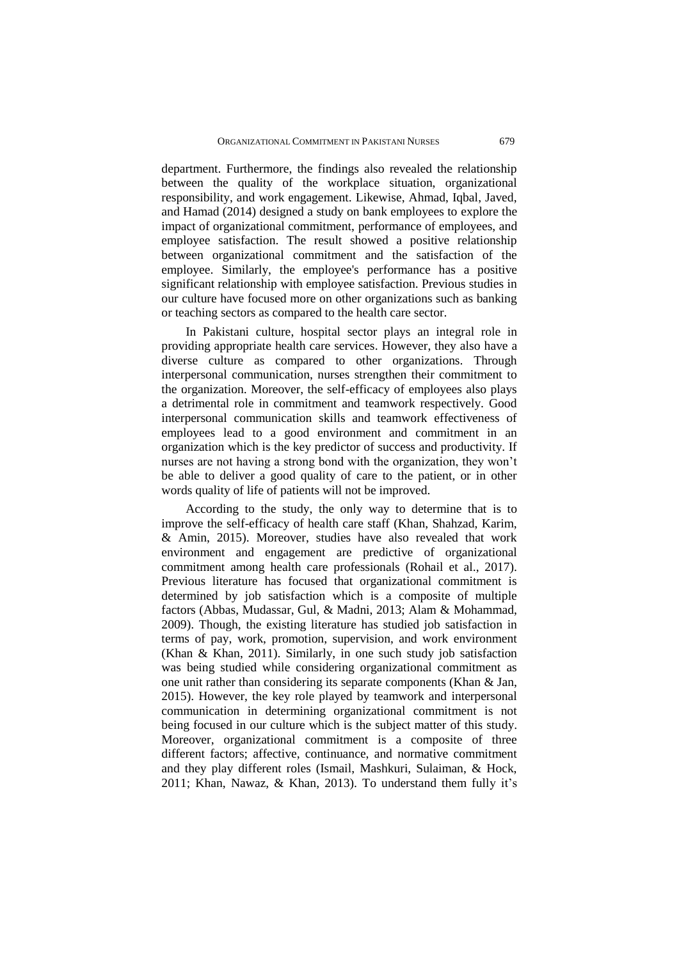department. Furthermore, the findings also revealed the relationship between the quality of the workplace situation, organizational responsibility, and work engagement. Likewise, Ahmad, Iqbal, Javed, and Hamad (2014) designed a study on bank employees to explore the impact of organizational commitment, performance of employees, and employee satisfaction. The result showed a positive relationship between organizational commitment and the satisfaction of the employee. Similarly, the employee's performance has a positive significant relationship with employee satisfaction. Previous studies in our culture have focused more on other organizations such as banking or teaching sectors as compared to the health care sector.

In Pakistani culture, hospital sector plays an integral role in providing appropriate health care services. However, they also have a diverse culture as compared to other organizations. Through interpersonal communication, nurses strengthen their commitment to the organization. Moreover, the self-efficacy of employees also plays a detrimental role in commitment and teamwork respectively. Good interpersonal communication skills and teamwork effectiveness of employees lead to a good environment and commitment in an organization which is the key predictor of success and productivity. If nurses are not having a strong bond with the organization, they won't be able to deliver a good quality of care to the patient, or in other words quality of life of patients will not be improved.

According to the study, the only way to determine that is to improve the self-efficacy of health care staff (Khan, Shahzad, Karim, & Amin, 2015). Moreover, studies have also revealed that work environment and engagement are predictive of organizational commitment among health care professionals (Rohail et al., 2017). Previous literature has focused that organizational commitment is determined by job satisfaction which is a composite of multiple factors (Abbas, Mudassar, Gul, & Madni, 2013; Alam & Mohammad, 2009). Though, the existing literature has studied job satisfaction in terms of pay, work, promotion, supervision, and work environment (Khan & Khan, 2011). Similarly, in one such study job satisfaction was being studied while considering organizational commitment as one unit rather than considering its separate components (Khan & Jan, 2015). However, the key role played by teamwork and interpersonal communication in determining organizational commitment is not being focused in our culture which is the subject matter of this study. Moreover, organizational commitment is a composite of three different factors; affective, continuance, and normative commitment and they play different roles (Ismail, Mashkuri, Sulaiman, & Hock, 2011; Khan, Nawaz, & Khan, 2013). To understand them fully it's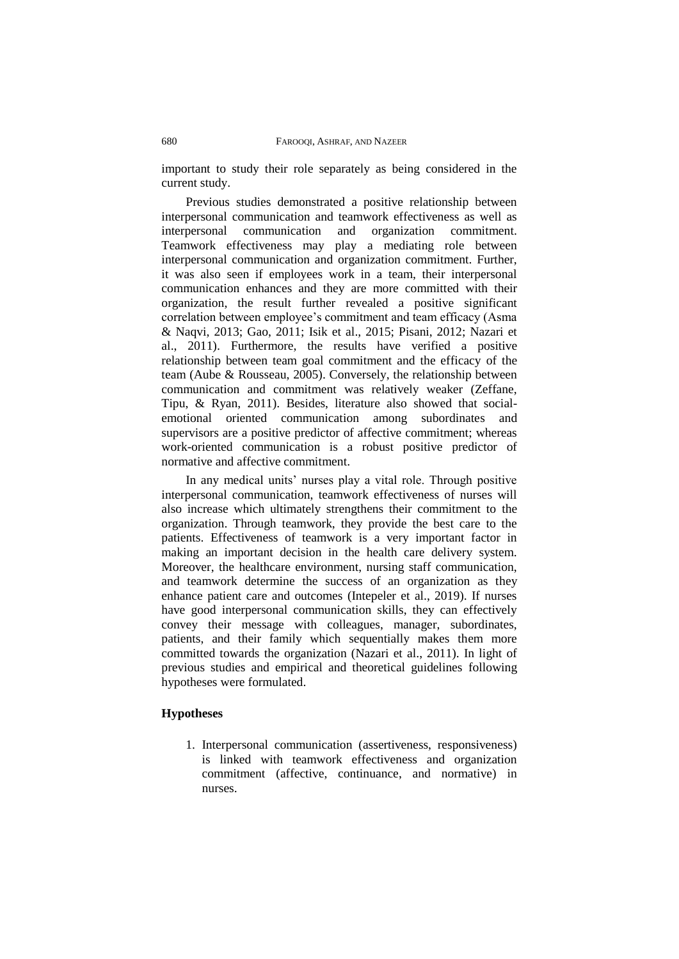important to study their role separately as being considered in the current study.

Previous studies demonstrated a positive relationship between interpersonal communication and teamwork effectiveness as well as interpersonal communication and organization commitment. interpersonal communication and organization commitment. Teamwork effectiveness may play a mediating role between interpersonal communication and organization commitment. Further, it was also seen if employees work in a team, their interpersonal communication enhances and they are more committed with their organization, the result further revealed a positive significant correlation between employee's commitment and team efficacy (Asma & Naqvi, 2013; Gao, 2011; Isik et al., 2015; Pisani, 2012; Nazari et al., 2011). Furthermore, the results have verified a positive relationship between team goal commitment and the efficacy of the team (Aube & Rousseau, 2005). Conversely, the relationship between communication and commitment was relatively weaker (Zeffane, Tipu, & Ryan, 2011). Besides, literature also showed that socialemotional oriented communication among subordinates and supervisors are a positive predictor of affective commitment; whereas work-oriented communication is a robust positive predictor of normative and affective commitment.

In any medical units' nurses play a vital role. Through positive interpersonal communication, teamwork effectiveness of nurses will also increase which ultimately strengthens their commitment to the organization. Through teamwork, they provide the best care to the patients. Effectiveness of teamwork is a very important factor in making an important decision in the health care delivery system. Moreover, the healthcare environment, nursing staff communication, and teamwork determine the success of an organization as they enhance patient care and outcomes (Intepeler et al., 2019). If nurses have good interpersonal communication skills, they can effectively convey their message with colleagues, manager, subordinates, patients, and their family which sequentially makes them more committed towards the organization (Nazari et al., 2011). In light of previous studies and empirical and theoretical guidelines following hypotheses were formulated.

## **Hypotheses**

1. Interpersonal communication (assertiveness, responsiveness) is linked with teamwork effectiveness and organization commitment (affective, continuance, and normative) in nurses.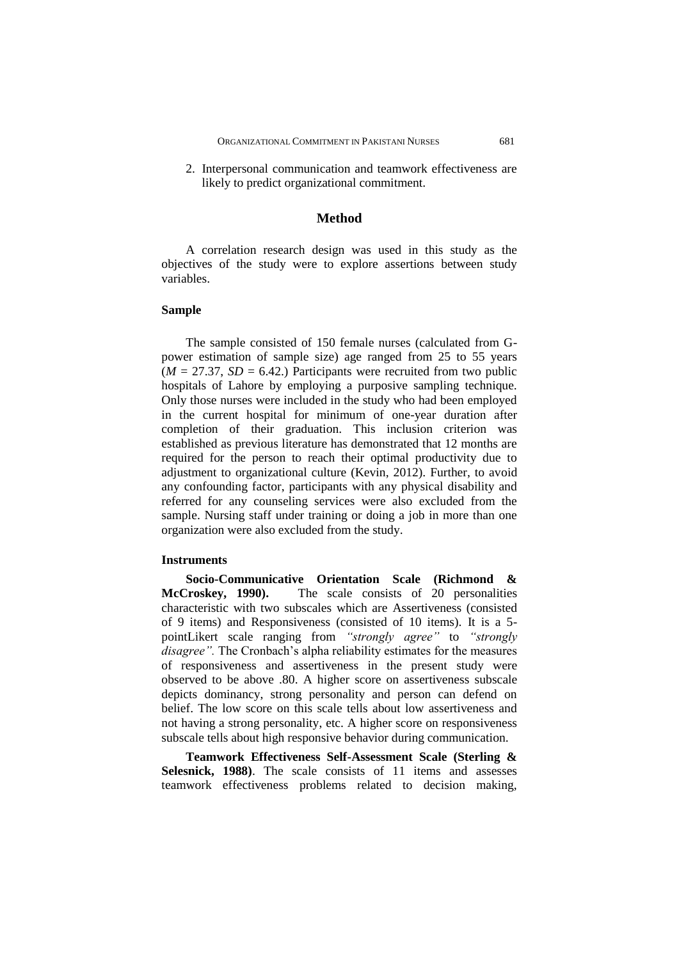2. Interpersonal communication and teamwork effectiveness are likely to predict organizational commitment.

## **Method**

A correlation research design was used in this study as the objectives of the study were to explore assertions between study variables.

## **Sample**

The sample consisted of 150 female nurses (calculated from Gpower estimation of sample size) age ranged from 25 to 55 years  $(M = 27.37, SD = 6.42)$  Participants were recruited from two public hospitals of Lahore by employing a purposive sampling technique. Only those nurses were included in the study who had been employed in the current hospital for minimum of one-year duration after completion of their graduation. This inclusion criterion was established as previous literature has demonstrated that 12 months are required for the person to reach their optimal productivity due to adjustment to organizational culture (Kevin, 2012). Further, to avoid any confounding factor, participants with any physical disability and referred for any counseling services were also excluded from the sample. Nursing staff under training or doing a job in more than one organization were also excluded from the study.

#### **Instruments**

**Socio-Communicative Orientation Scale (Richmond & McCroskey, 1990).** The scale consists of 20 personalities characteristic with two subscales which are Assertiveness (consisted of 9 items) and Responsiveness (consisted of 10 items). It is a 5 pointLikert scale ranging from *"strongly agree"* to *"strongly disagree".* The Cronbach's alpha reliability estimates for the measures of responsiveness and assertiveness in the present study were observed to be above .80. A higher score on assertiveness subscale depicts dominancy, strong personality and person can defend on belief. The low score on this scale tells about low assertiveness and not having a strong personality, etc. A higher score on responsiveness subscale tells about high responsive behavior during communication.

**Teamwork Effectiveness Self-Assessment Scale (Sterling & Selesnick, 1988**). The scale consists of 11 items and assesses teamwork effectiveness problems related to decision making,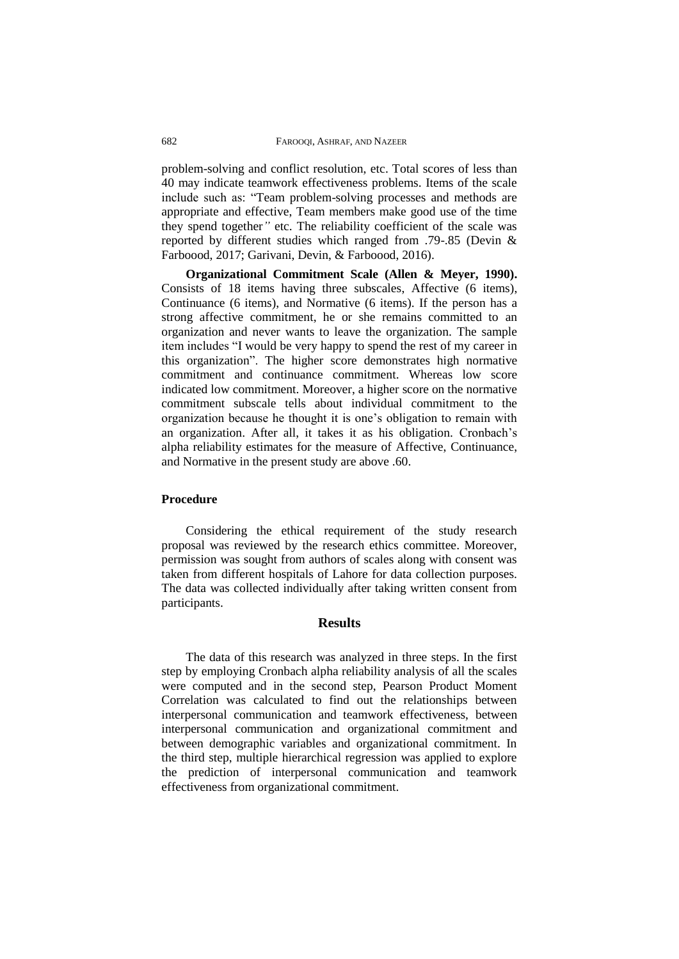problem-solving and conflict resolution, etc. Total scores of less than 40 may indicate teamwork effectiveness problems. Items of the scale include such as: "Team problem-solving processes and methods are appropriate and effective, Team members make good use of the time they spend together*"* etc. The reliability coefficient of the scale was reported by different studies which ranged from .79-.85 (Devin & Farboood, 2017; Garivani, Devin, & Farboood, 2016).

**Organizational Commitment Scale (Allen & Meyer, 1990).** Consists of 18 items having three subscales, Affective (6 items), Continuance (6 items), and Normative (6 items). If the person has a strong affective commitment, he or she remains committed to an organization and never wants to leave the organization. The sample item includes "I would be very happy to spend the rest of my career in this organization". The higher score demonstrates high normative commitment and continuance commitment. Whereas low score indicated low commitment. Moreover, a higher score on the normative commitment subscale tells about individual commitment to the organization because he thought it is one's obligation to remain with an organization. After all, it takes it as his obligation. Cronbach's alpha reliability estimates for the measure of Affective, Continuance, and Normative in the present study are above .60.

### **Procedure**

Considering the ethical requirement of the study research proposal was reviewed by the research ethics committee. Moreover, permission was sought from authors of scales along with consent was taken from different hospitals of Lahore for data collection purposes. The data was collected individually after taking written consent from participants.

## **Results**

The data of this research was analyzed in three steps. In the first step by employing Cronbach alpha reliability analysis of all the scales were computed and in the second step, Pearson Product Moment Correlation was calculated to find out the relationships between interpersonal communication and teamwork effectiveness, between interpersonal communication and organizational commitment and between demographic variables and organizational commitment. In the third step, multiple hierarchical regression was applied to explore the prediction of interpersonal communication and teamwork effectiveness from organizational commitment.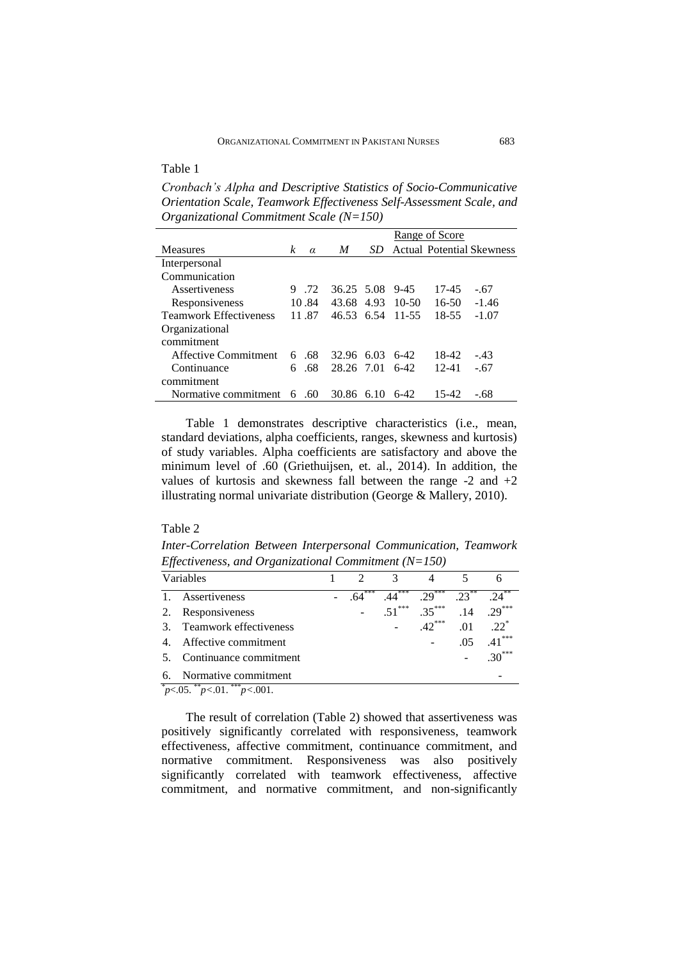Table 1

*Cronbach's Alpha and Descriptive Statistics of Socio-Communicative Orientation Scale, Teamwork Effectiveness Self-Assessment Scale, and Organizational Commitment Scale (N=150)*

|                               |   |          |            |      | Range of Score |           |                                  |  |
|-------------------------------|---|----------|------------|------|----------------|-----------|----------------------------------|--|
| <b>Measures</b>               | k | $\alpha$ | M          | SD.  |                |           | <b>Actual Potential Skewness</b> |  |
| Interpersonal                 |   |          |            |      |                |           |                                  |  |
| Communication                 |   |          |            |      |                |           |                                  |  |
| Assertiveness                 |   | .72      | 36.25 5.08 |      | $9 - 45$       | 17-45     | $-.67$                           |  |
| Responsiveness                |   | 10.84    | 43.68      | 4.93 | $10-50$        | $16-50$   | $-1.46$                          |  |
| <b>Teamwork Effectiveness</b> |   | 11.87    | 46.53 6.54 |      | 11-55          | 18-55     | $-1.07$                          |  |
| Organizational                |   |          |            |      |                |           |                                  |  |
| commitment                    |   |          |            |      |                |           |                                  |  |
| <b>Affective Commitment</b>   |   | 6.68     | 32.96      | 6.03 | $6-42$         | 18-42     | $-.43$                           |  |
| Continuance                   | 6 | .68      | 28.26 7.01 |      | $6-42$         | $12 - 41$ | $-.67$                           |  |
| commitment                    |   |          |            |      |                |           |                                  |  |
| Normative commitment          | 6 | -60      | 30.86      | 610  | $6-42$         | 15-42     | - 68                             |  |

Table 1 demonstrates descriptive characteristics (i.e., mean, standard deviations, alpha coefficients, ranges, skewness and kurtosis) of study variables. Alpha coefficients are satisfactory and above the minimum level of .60 (Griethuijsen, et. al., 2014). In addition, the values of kurtosis and skewness fall between the range  $-2$  and  $+2$ illustrating normal univariate distribution (George & Mallery, 2010).

# Table 2

*Inter-Correlation Between Interpersonal Communication, Teamwork Effectiveness, and Organizational Commitment (N=150)*

|                | Variables                                                                                                                                                                                                                                                                                                                           |     | $\mathcal{R}$ |          |         |           |
|----------------|-------------------------------------------------------------------------------------------------------------------------------------------------------------------------------------------------------------------------------------------------------------------------------------------------------------------------------------|-----|---------------|----------|---------|-----------|
| $\mathbf{1}$ . | Assertiveness                                                                                                                                                                                                                                                                                                                       | *** | $44^{***}$    | $29***$  | $23***$ |           |
| 2.             | Responsiveness                                                                                                                                                                                                                                                                                                                      |     | $.51***$      | $.35***$ | .14     | $.29***$  |
|                | 3. Teamwork effectiveness                                                                                                                                                                                                                                                                                                           |     |               | $.42***$ | .01     | $.22^{*}$ |
|                | 4. Affective commitment                                                                                                                                                                                                                                                                                                             |     |               |          | .05     | $.41***$  |
|                | 5. Continuance commitment                                                                                                                                                                                                                                                                                                           |     |               |          |         | $.30***$  |
| 6.             | Normative commitment                                                                                                                                                                                                                                                                                                                |     |               |          |         |           |
|                | $\sqrt[p]{6}$ , $\sqrt[3]{6}$ , $\sqrt[3]{6}$ , $\sqrt[3]{6}$ , $\sqrt[3]{6}$ , $\sqrt[3]{6}$ , $\sqrt[3]{6}$ , $\sqrt[3]{6}$ , $\sqrt[3]{6}$ , $\sqrt[3]{6}$ , $\sqrt[3]{6}$ , $\sqrt[3]{6}$ , $\sqrt[3]{6}$ , $\sqrt[3]{6}$ , $\sqrt[3]{6}$ , $\sqrt[3]{6}$ , $\sqrt[3]{6}$ , $\sqrt[3]{6}$ , $\sqrt[3]{6}$ , $\sqrt[3]{6}$ , $\$ |     |               |          |         |           |

The result of correlation (Table 2) showed that assertiveness was positively significantly correlated with responsiveness, teamwork effectiveness, affective commitment, continuance commitment, and normative commitment. Responsiveness was also positively significantly correlated with teamwork effectiveness, affective commitment, and normative commitment, and non-significantly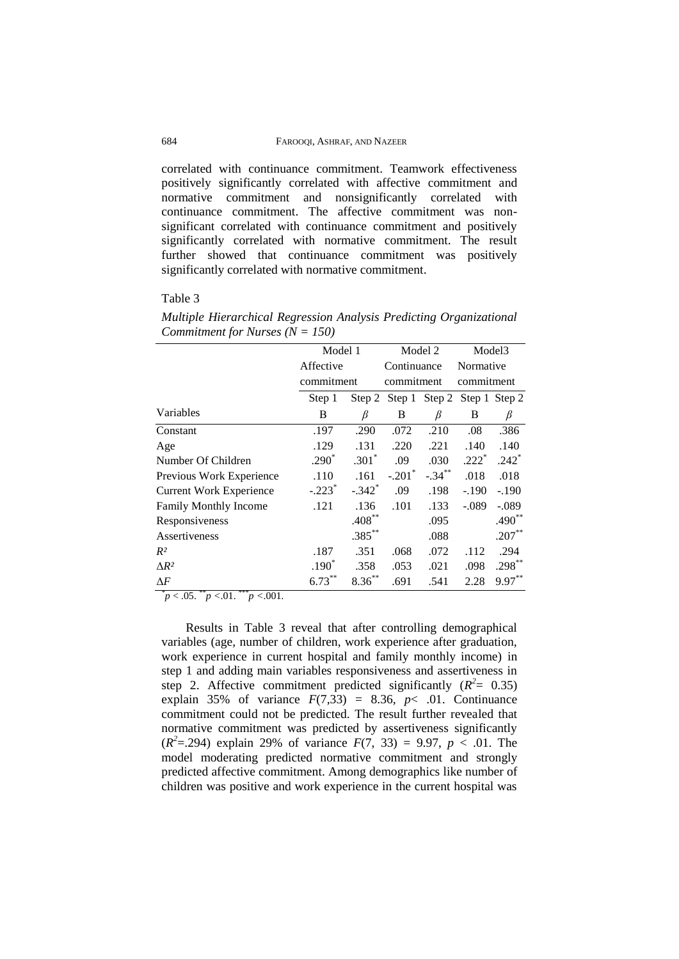correlated with continuance commitment. Teamwork effectiveness positively significantly correlated with affective commitment and normative commitment and nonsignificantly correlated with continuance commitment. The affective commitment was nonsignificant correlated with continuance commitment and positively significantly correlated with normative commitment. The result further showed that continuance commitment was positively significantly correlated with normative commitment.

#### Table 3

*Multiple Hierarchical Regression Analysis Predicting Organizational Commitment for Nurses (N = 150)*

|                                | Model 1              |                      | Model 2                            |           | Model <sub>3</sub> |           |
|--------------------------------|----------------------|----------------------|------------------------------------|-----------|--------------------|-----------|
|                                | Affective            |                      | Continuance                        |           | Normative          |           |
|                                | commitment           |                      | commitment                         |           | commitment         |           |
|                                | Step 1               |                      | Step 2 Step 1 Step 2 Step 1 Step 2 |           |                    |           |
| Variables                      | B                    | β                    | Β                                  | β         | B                  | β         |
| Constant                       | .197                 | .290                 | .072                               | .210      | .08                | .386      |
| Age                            | .129                 | .131                 | .220                               | .221      | .140               | .140      |
| Number Of Children             | $.290*$              | $.301*$              | .09                                | .030      | $.222*$            | $.242*$   |
| Previous Work Experience       | .110                 | .161                 | $-.201$ <sup>*</sup>               | $-.34***$ | .018               | .018      |
| <b>Current Work Experience</b> | $-.223$ <sup>*</sup> | $-.342$ <sup>*</sup> | .09                                | .198      | $-.190$            | $-.190$   |
| Family Monthly Income          | .121                 | .136                 | .101                               | .133      | $-.089$            | $-.089$   |
| Responsiveness                 |                      | $.408**$             |                                    | .095      |                    | $.490**$  |
| Assertiveness                  |                      | $.385***$            |                                    | .088      |                    | $.207**$  |
| $R^2$                          | .187                 | .351                 | .068                               | .072      | .112               | .294      |
| $\Delta R^2$                   | $.190*$              | .358                 | .053                               | .021      | .098               | $.298***$ |
| $\Delta F$                     | $6.73***$            | $8.36^{**}$          | .691                               | .541      | 2.28               | $9.97***$ |

*\* p* < .05. \*\**p <*.01. \*\*\**p <*.001*.*

Results in Table 3 reveal that after controlling demographical variables (age, number of children, work experience after graduation, work experience in current hospital and family monthly income) in step 1 and adding main variables responsiveness and assertiveness in step 2. Affective commitment predicted significantly  $(R^2 = 0.35)$ explain 35% of variance  $F(7,33) = 8.36, p< .01$ . Continuance commitment could not be predicted. The result further revealed that normative commitment was predicted by assertiveness significantly  $(R^2 = .294)$  explain 29% of variance  $F(7, 33) = 9.97$ ,  $p < .01$ . The model moderating predicted normative commitment and strongly predicted affective commitment. Among demographics like number of children was positive and work experience in the current hospital was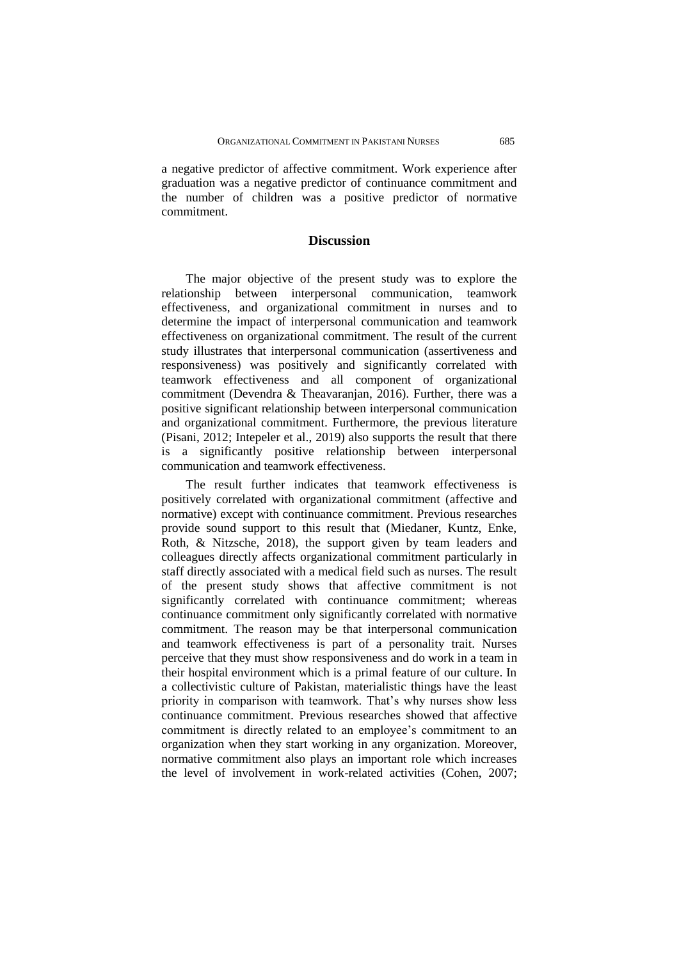a negative predictor of affective commitment. Work experience after graduation was a negative predictor of continuance commitment and the number of children was a positive predictor of normative commitment.

# **Discussion**

The major objective of the present study was to explore the relationship between interpersonal communication, teamwork effectiveness, and organizational commitment in nurses and to determine the impact of interpersonal communication and teamwork effectiveness on organizational commitment. The result of the current study illustrates that interpersonal communication (assertiveness and responsiveness) was positively and significantly correlated with teamwork effectiveness and all component of organizational commitment (Devendra & Theavaranjan, 2016). Further, there was a positive significant relationship between interpersonal communication and organizational commitment. Furthermore, the previous literature (Pisani, 2012; Intepeler et al., 2019) also supports the result that there is a significantly positive relationship between interpersonal communication and teamwork effectiveness.

The result further indicates that teamwork effectiveness is positively correlated with organizational commitment (affective and normative) except with continuance commitment. Previous researches provide sound support to this result that (Miedaner, Kuntz, Enke, Roth, & Nitzsche, 2018), the support given by team leaders and colleagues directly affects organizational commitment particularly in staff directly associated with a medical field such as nurses. The result of the present study shows that affective commitment is not significantly correlated with continuance commitment; whereas continuance commitment only significantly correlated with normative commitment. The reason may be that interpersonal communication and teamwork effectiveness is part of a personality trait. Nurses perceive that they must show responsiveness and do work in a team in their hospital environment which is a primal feature of our culture. In a collectivistic culture of Pakistan, materialistic things have the least priority in comparison with teamwork. That's why nurses show less continuance commitment. Previous researches showed that affective commitment is directly related to an employee's commitment to an organization when they start working in any organization. Moreover, normative commitment also plays an important role which increases the level of involvement in work-related activities (Cohen, 2007;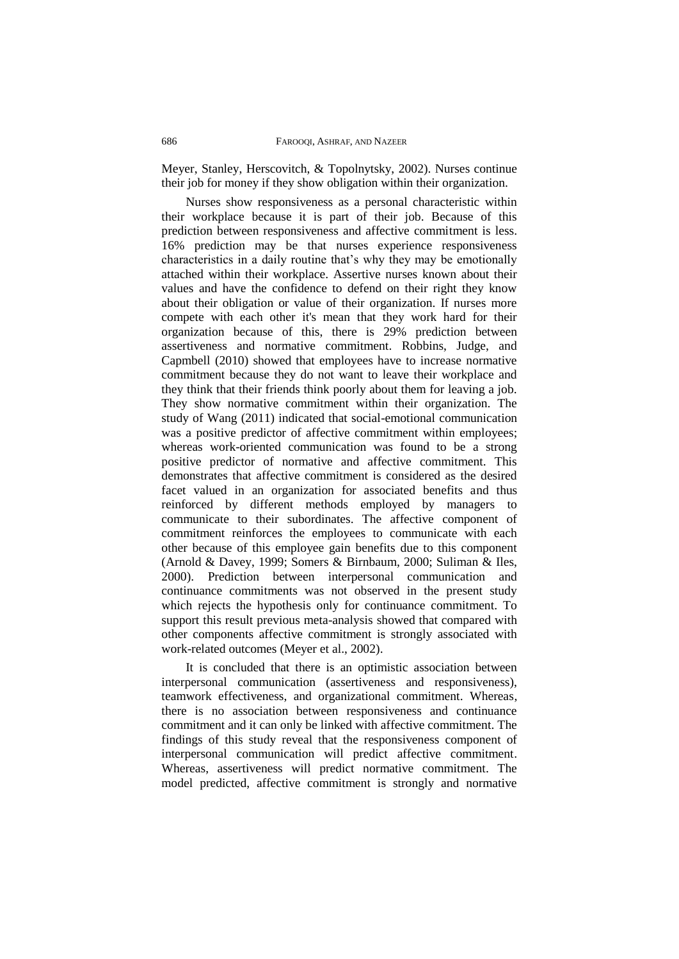Meyer, Stanley, Herscovitch, & Topolnytsky, 2002). Nurses continue their job for money if they show obligation within their organization.

Nurses show responsiveness as a personal characteristic within their workplace because it is part of their job. Because of this prediction between responsiveness and affective commitment is less. 16% prediction may be that nurses experience responsiveness characteristics in a daily routine that's why they may be emotionally attached within their workplace. Assertive nurses known about their values and have the confidence to defend on their right they know about their obligation or value of their organization. If nurses more compete with each other it's mean that they work hard for their organization because of this, there is 29% prediction between assertiveness and normative commitment. Robbins, Judge, and Capmbell (2010) showed that employees have to increase normative commitment because they do not want to leave their workplace and they think that their friends think poorly about them for leaving a job. They show normative commitment within their organization. The study of Wang (2011) indicated that social-emotional communication was a positive predictor of affective commitment within employees; whereas work-oriented communication was found to be a strong positive predictor of normative and affective commitment. This demonstrates that affective commitment is considered as the desired facet valued in an organization for associated benefits and thus reinforced by different methods employed by managers to communicate to their subordinates. The affective component of commitment reinforces the employees to communicate with each other because of this employee gain benefits due to this component (Arnold & Davey, 1999; Somers & Birnbaum, 2000; Suliman & Iles, 2000). Prediction between interpersonal communication and continuance commitments was not observed in the present study which rejects the hypothesis only for continuance commitment. To support this result previous meta-analysis showed that compared with other components affective commitment is strongly associated with work-related outcomes (Meyer et al., 2002).

It is concluded that there is an optimistic association between interpersonal communication (assertiveness and responsiveness), teamwork effectiveness, and organizational commitment. Whereas, there is no association between responsiveness and continuance commitment and it can only be linked with affective commitment. The findings of this study reveal that the responsiveness component of interpersonal communication will predict affective commitment. Whereas, assertiveness will predict normative commitment. The model predicted, affective commitment is strongly and normative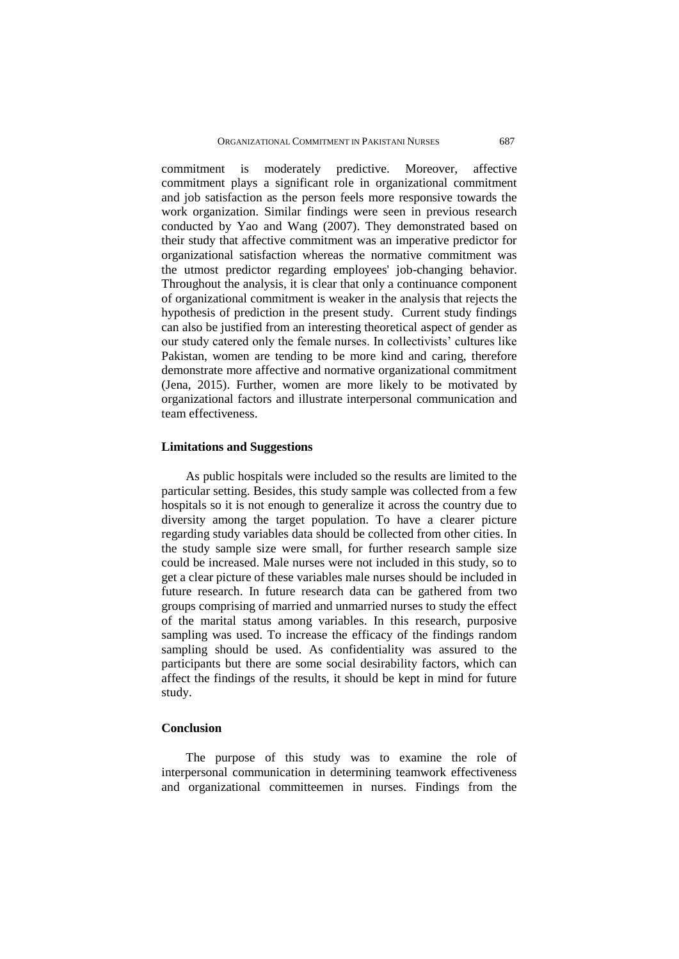commitment is moderately predictive. Moreover, affective commitment plays a significant role in organizational commitment and job satisfaction as the person feels more responsive towards the work organization. Similar findings were seen in previous research conducted by Yao and Wang (2007). They demonstrated based on their study that affective commitment was an imperative predictor for organizational satisfaction whereas the normative commitment was the utmost predictor regarding employees' job-changing behavior. Throughout the analysis, it is clear that only a continuance component of organizational commitment is weaker in the analysis that rejects the hypothesis of prediction in the present study. Current study findings can also be justified from an interesting theoretical aspect of gender as our study catered only the female nurses. In collectivists' cultures like Pakistan, women are tending to be more kind and caring, therefore demonstrate more affective and normative organizational commitment (Jena, 2015). Further, women are more likely to be motivated by organizational factors and illustrate interpersonal communication and team effectiveness.

### **Limitations and Suggestions**

As public hospitals were included so the results are limited to the particular setting. Besides, this study sample was collected from a few hospitals so it is not enough to generalize it across the country due to diversity among the target population. To have a clearer picture regarding study variables data should be collected from other cities. In the study sample size were small, for further research sample size could be increased. Male nurses were not included in this study, so to get a clear picture of these variables male nurses should be included in future research. In future research data can be gathered from two groups comprising of married and unmarried nurses to study the effect of the marital status among variables. In this research, purposive sampling was used. To increase the efficacy of the findings random sampling should be used. As confidentiality was assured to the participants but there are some social desirability factors, which can affect the findings of the results, it should be kept in mind for future study.

## **Conclusion**

The purpose of this study was to examine the role of interpersonal communication in determining teamwork effectiveness and organizational committeemen in nurses. Findings from the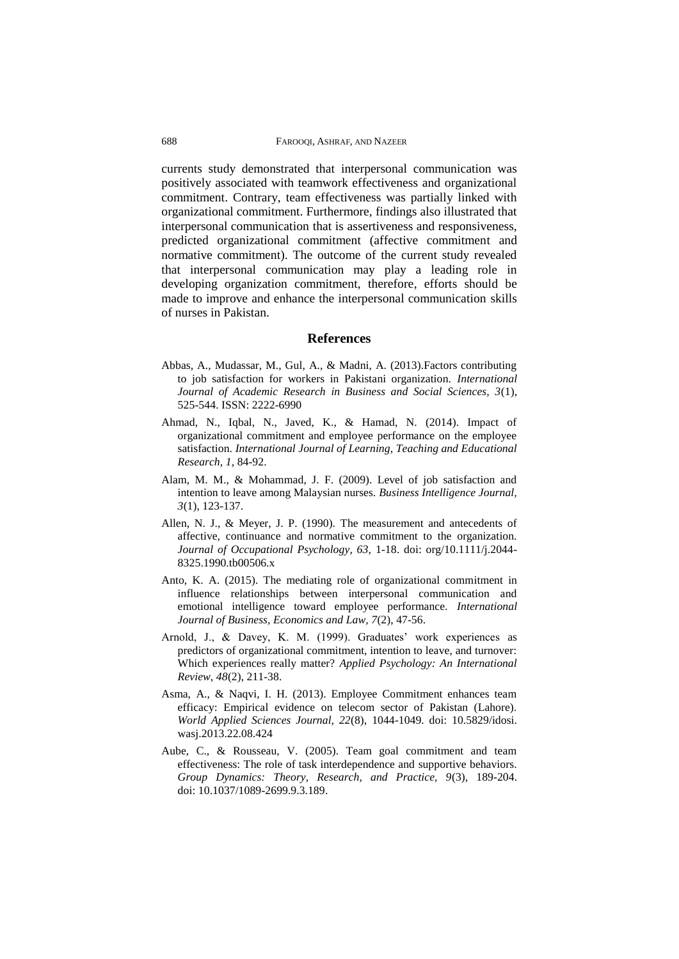currents study demonstrated that interpersonal communication was positively associated with teamwork effectiveness and organizational commitment. Contrary, team effectiveness was partially linked with organizational commitment. Furthermore, findings also illustrated that interpersonal communication that is assertiveness and responsiveness, predicted organizational commitment (affective commitment and normative commitment). The outcome of the current study revealed that interpersonal communication may play a leading role in developing organization commitment, therefore, efforts should be made to improve and enhance the interpersonal communication skills of nurses in Pakistan.

#### **References**

- Abbas, A., Mudassar, M., Gul, A., & Madni, A. (2013).Factors contributing to job satisfaction for workers in Pakistani organization. *International Journal of Academic Research in Business and Social Sciences, 3*(1), 525-544. ISSN: 2222-6990
- Ahmad, N., Iqbal, N., Javed, K., & Hamad, N. (2014). Impact of organizational commitment and employee performance on the employee satisfaction. *International Journal of Learning, Teaching and Educational Research, 1,* 84-92.
- Alam, M. M., & Mohammad, J. F. (2009). Level of job satisfaction and intention to leave among Malaysian nurses. *Business Intelligence Journal, 3*(1), 123-137.
- Allen, N. J., & Meyer, J. P. (1990). The measurement and antecedents of affective, continuance and normative commitment to the organization. *Journal of Occupational Psychology, 63,* 1-18. [doi: org/10.1111/j.2044-](https://doi.org/10.1111/j.2044-8325.1990.tb00506.x) [8325.1990.tb00506.x](https://doi.org/10.1111/j.2044-8325.1990.tb00506.x)
- Anto, K. A. (2015). The mediating role of organizational commitment in influence relationships between interpersonal communication and emotional intelligence toward employee performance. *International Journal of Business, Economics and Law, 7*(2), 47-56.
- Arnold, J., & Davey, K. M. (1999). Graduates' work experiences as predictors of organizational commitment, intention to leave, and turnover: Which experiences really matter? *Applied Psychology: An International Review, 48*(2), 211-38.
- Asma, A., & Naqvi, I. H. (2013). Employee Commitment enhances team efficacy: Empirical evidence on telecom sector of Pakistan (Lahore). *World Applied Sciences Journal, 22*(8), 1044-1049. doi: 10.5829/idosi. wasj.2013.22.08.424
- Aube, C., & Rousseau, V. (2005). Team goal commitment and team effectiveness: The role of task interdependence and supportive behaviors. *Group Dynamics: Theory, Research, and Practice, 9*(3), 189-204. doi: 10.1037/1089-2699.9.3.189.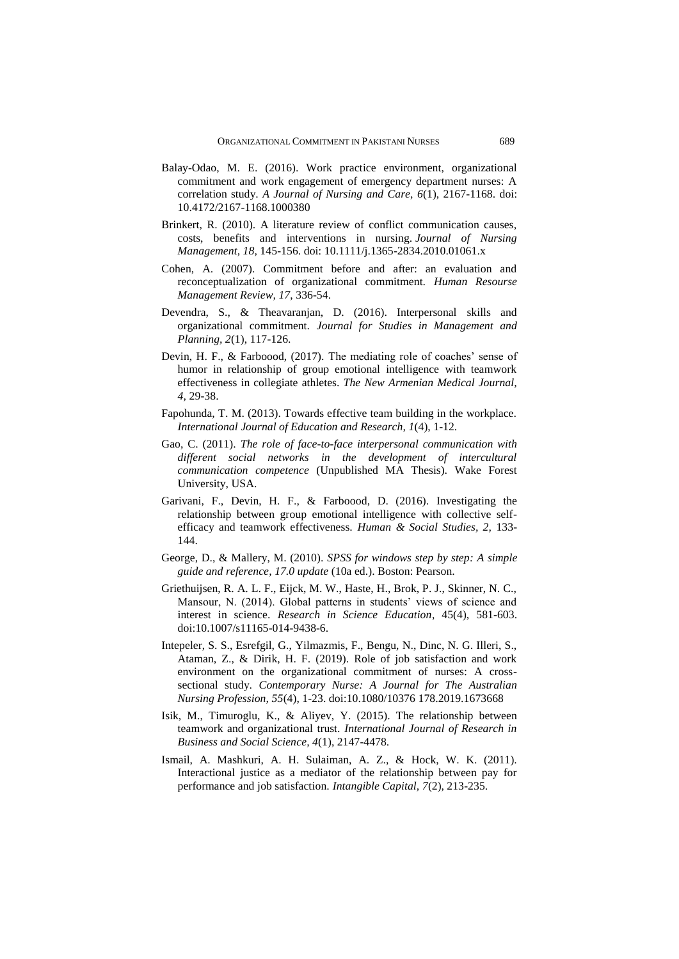- Balay-Odao, M. E. (2016). Work practice environment, organizational commitment and work engagement of emergency department nurses: A correlation study. *A Journal of Nursing and Care, 6*(1), 2167-1168. doi: 10.4172/2167-1168.1000380
- Brinkert, R. (2010). A literature review of conflict communication causes, costs, benefits and interventions in nursing. *Journal of Nursing Management, 18,* 145-156. doi: 10.1111/j.1365-2834.2010.01061.x
- Cohen, A. (2007). Commitment before and after: an evaluation and reconceptualization of organizational commitment. *Human Resourse Management Review, 17*, 336-54.
- Devendra, S., & Theavaranjan, D. (2016). Interpersonal skills and organizational commitment. *Journal for Studies in Management and Planning, 2*(1), 117-126.
- Devin, H. F., & Farboood, (2017). The mediating role of coaches' sense of humor in relationship of group emotional intelligence with teamwork effectiveness in collegiate athletes. *The New Armenian Medical Journal, 4,* 29-38.
- Fapohunda, T. M. (2013). Towards effective team building in the workplace. *International Journal of Education and Research, 1*(4), 1-12.
- Gao, C. (2011). *The role of face-to-face interpersonal communication with different social networks in the development of intercultural communication competence* (Unpublished MA Thesis). Wake Forest University, USA.
- Garivani, F., Devin, H. F., & Farboood, D. (2016). Investigating the relationship between group emotional intelligence with collective selfefficacy and teamwork effectiveness. *Human & Social Studies, 2,* 133- 144.
- George, D., & Mallery, M. (2010). *SPSS for windows step by step: A simple guide and reference, 17.0 update* (10a ed.). Boston: Pearson.
- Griethuijsen, R. A. L. F., Eijck, M. W., Haste, H., Brok, P. J., Skinner, N. C., Mansour, N. (2014). Global patterns in students' views of science and interest in science. *Research in Science Education*, 45(4), 581-603. doi:10.1007/s11165-014-9438-6.
- Intepeler, S. S., Esrefgil, G., Yilmazmis, F., Bengu, N., Dinc, N. G. Illeri, S., Ataman, Z., & Dirik, H. F. (2019). Role of job satisfaction and work environment on the organizational commitment of nurses: A crosssectional study. *Contemporary Nurse: A Journal for The Australian Nursing Profession, 55*(4), 1-23. doi:10.1080/10376 178.2019.1673668
- Isik, M., Timuroglu, K., & Aliyev, Y. (2015). The relationship between teamwork and organizational trust. *International Journal of Research in Business and Social Science, 4*(1), 2147-4478.
- Ismail, A. Mashkuri, A. H. Sulaiman, A. Z., & Hock, W. K. (2011). Interactional justice as a mediator of the relationship between pay for performance and job satisfaction. *Intangible Capital, 7*(2), 213-235.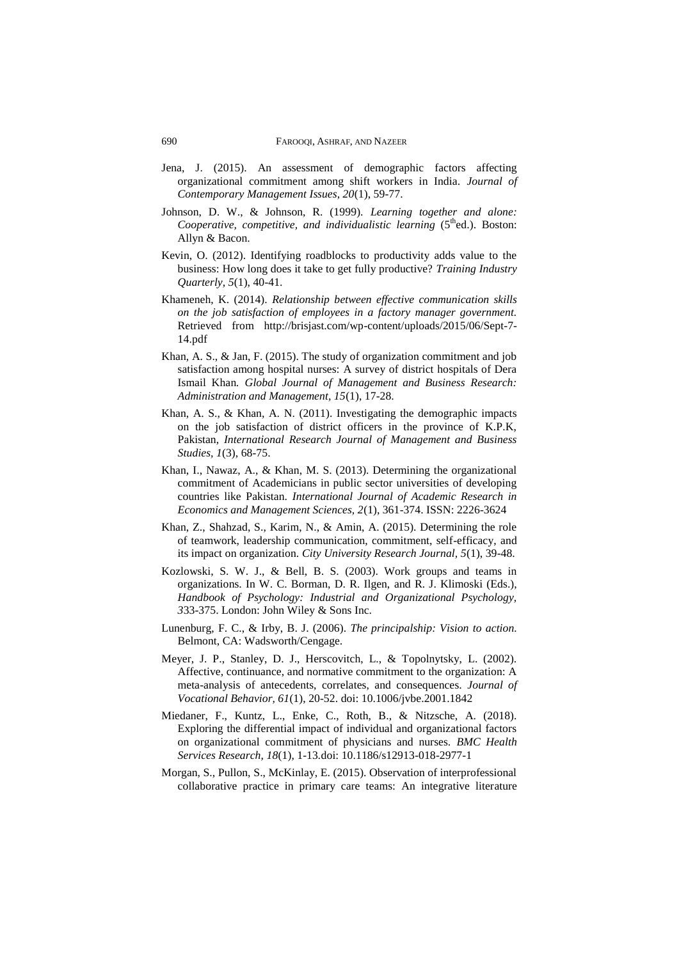- Jena, J. (2015). An assessment of demographic factors affecting organizational commitment among shift workers in India. *Journal of Contemporary Management Issues, 20*(1), 59-77.
- Johnson, D. W., & Johnson, R. (1999). *Learning together and alone: Cooperative, competitive, and individualistic learning (5<sup>th</sup>ed.). Boston:* Allyn & Bacon.
- Kevin, O. (2012). Identifying roadblocks to productivity adds value to the business: How long does it take to get fully productive? *Training Industry Quarterly, 5*(1), 40-41.
- Khameneh, K. (2014). *Relationship between effective communication skills on the job satisfaction of employees in a factory manager government.*  Retrieved from [http://brisjast.com/wp-content/uploads/2015/06/Sept-7-](http://brisjast.com/wp-content/uploads/2015/06/Sept-7-14.pdf) [14.pdf](http://brisjast.com/wp-content/uploads/2015/06/Sept-7-14.pdf)
- Khan, A. S., & Jan, F. (2015). The study of organization commitment and job satisfaction among hospital nurses: A survey of district hospitals of Dera Ismail Khan*. Global Journal of Management and Business Research: Administration and Management, 15*(1), 17-28.
- Khan, A. S., & Khan, A. N. (2011). Investigating the demographic impacts on the job satisfaction of district officers in the province of K.P.K, Pakistan, *International Research Journal of Management and Business Studies, 1*(3), 68-75.
- Khan, I., Nawaz, A., & Khan, M. S. (2013). Determining the organizational commitment of Academicians in public sector universities of developing countries like Pakistan. *International Journal of Academic Research in Economics and Management Sciences, 2*(1), 361-374. ISSN: 2226-3624
- Khan, Z., Shahzad, S., Karim, N., & Amin, A. (2015). Determining the role of teamwork, leadership communication, commitment, self-efficacy, and its impact on organization. *City University Research Journal, 5*(1), 39-48.
- Kozlowski, S. W. J., & Bell, B. S. (2003). Work groups and teams in organizations. In W. C. Borman, D. R. Ilgen, and R. J. Klimoski (Eds.), *Handbook of Psychology: Industrial and Organizational Psychology, 3*33-375. London: John Wiley & Sons Inc.
- Lunenburg, F. C., & Irby, B. J. (2006). *The principalship: Vision to action.* Belmont, CA: Wadsworth/Cengage.
- Meyer, J. P., Stanley, D. J., Herscovitch, L., & Topolnytsky, L. (2002). Affective, continuance, and normative commitment to the organization: A meta-analysis of antecedents, correlates, and consequences. *Journal of Vocational Behavior, 61*(1), 20-52. doi: 10.1006/jvbe.2001.1842
- Miedaner, F., Kuntz, L., Enke, C., Roth, B., & Nitzsche, A. (2018). Exploring the differential impact of individual and organizational factors on organizational commitment of physicians and nurses. *BMC Health Services Research, 18*(1), 1-13*.*doi: 10.1186/s12913-018-2977-1
- Morgan, S., Pullon, S., McKinlay, E. (2015). Observation of interprofessional collaborative practice in primary care teams: An integrative literature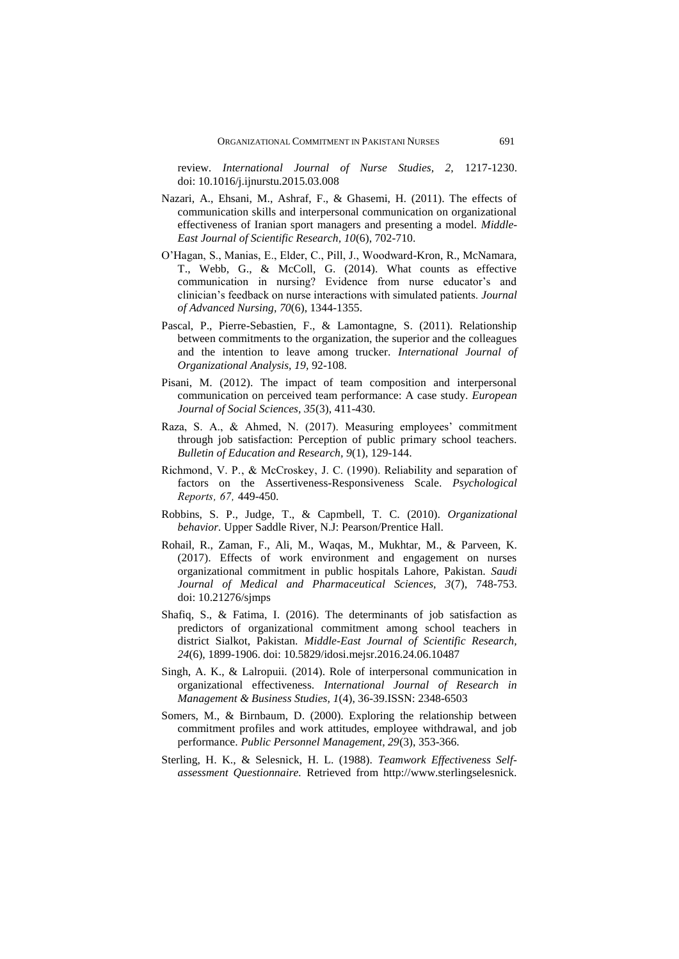review. *International Journal of Nurse Studies, 2,* 1217-1230. doi: 10.1016/j.ijnurstu.2015.03.008

- Nazari, A., Ehsani, M., Ashraf, F., & Ghasemi, H. (2011). The effects of communication skills and interpersonal communication on organizational effectiveness of Iranian sport managers and presenting a model. *Middle-East Journal of Scientific Research, 10*(6), 702-710.
- O'Hagan, S., Manias, E., Elder, C., Pill, J., Woodward-Kron, R., McNamara, T., Webb, G., & McColl, G. (2014). What counts as effective communication in nursing? Evidence from nurse educator's and clinician's feedback on nurse interactions with simulated patients. *Journal of Advanced Nursing, 70*(6), 1344-1355.
- Pascal, P., Pierre-Sebastien, F., & Lamontagne, S. (2011). Relationship between commitments to the organization, the superior and the colleagues and the intention to leave among trucker. *International Journal of Organizational Analysis, 19,* 92-108.
- Pisani, M. (2012). The impact of team composition and interpersonal communication on perceived team performance: A case study. *European Journal of Social Sciences, 35*(3), 411-430.
- Raza, S. A., & Ahmed, N. (2017). Measuring employees' commitment through job satisfaction: Perception of public primary school teachers. *Bulletin of Education and Research, 9*(1), 129-144.
- Richmond, V. P., & McCroskey, J. C. (1990). Reliability and separation of factors on the Assertiveness-Responsiveness Scale. *Psychological Reports' 67'* 449-450.
- Robbins, S. P., Judge, T., & Capmbell, T. C. (2010). *Organizational behavior.* Upper Saddle River, N.J: Pearson/Prentice Hall.
- Rohail, R., Zaman, F., Ali, M., Waqas, M., Mukhtar, M., & Parveen, K. (2017). Effects of work environment and engagement on nurses organizational commitment in public hospitals Lahore, Pakistan. *Saudi Journal of Medical and Pharmaceutical Sciences, 3*(7), 748-753. doi: 10.21276/sjmps
- Shafiq, S., & Fatima, I. (2016). The determinants of job satisfaction as predictors of organizational commitment among school teachers in district Sialkot, Pakistan. *Middle-East Journal of Scientific Research, 24*(6), 1899-1906. doi: 10.5829/idosi.mejsr.2016.24.06.10487
- Singh, A. K., & Lalropuii. (2014). Role of interpersonal communication in organizational effectiveness. *International Journal of Research in Management & Business Studies, 1*(4), 36-39.ISSN: 2348-6503
- Somers, M., & Birnbaum, D. (2000). Exploring the relationship between commitment profiles and work attitudes, employee withdrawal, and job performance. *Public Personnel Management, 29*(3), 353-366.
- Sterling, H. K., & Selesnick, H. L. (1988). *Teamwork Effectiveness Selfassessment Questionnaire.* Retrieved from http://www.sterlingselesnick.